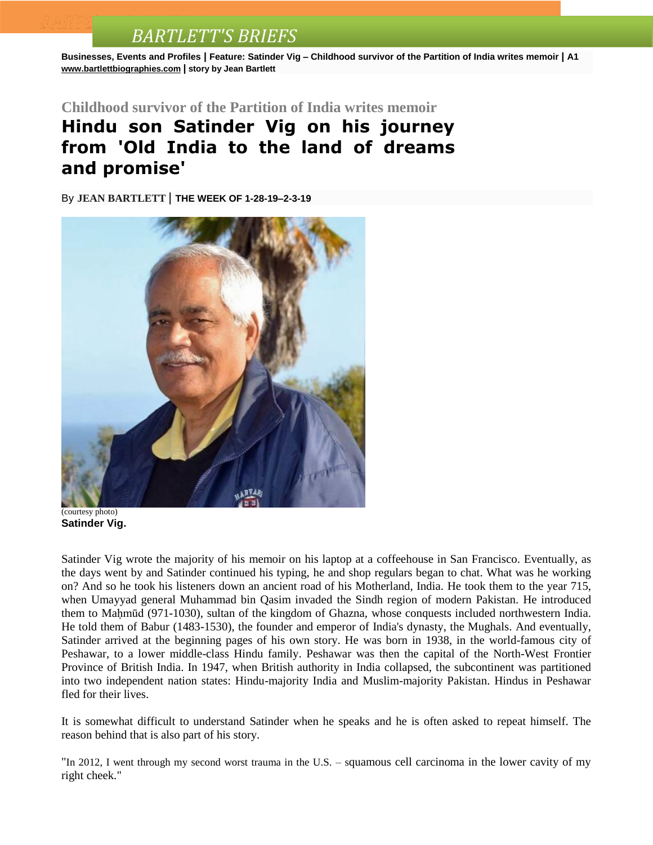## *BARTLETT'S BRIEFS*

**Businesses, Events and Profiles | Feature: Satinder Vig – Childhood survivor of the Partition of India writes memoir | A1 [www.bartlettbiographies.com](http://www.bartlettbiographies.com/) | story by Jean Bartlett**

**Childhood survivor of the Partition of India writes memoir**

## **Hindu son Satinder Vig on his journey from 'Old India to the land of dreams and promise'**

By **JEAN [BARTLETT](http://www.mercurynews.com/author/jean-bartlett/)** | **THE WEEK OF 1-28-19–2-3-19**



(courtesy photo) **Satinder Vig.**

Satinder Vig wrote the majority of his memoir on his laptop at a coffeehouse in San Francisco. Eventually, as the days went by and Satinder continued his typing, he and shop regulars began to chat. What was he working on? And so he took his listeners down an ancient road of his Motherland, India. He took them to the year 715, when Umayyad general Muhammad bin Qasim invaded the Sindh region of modern Pakistan. He introduced them to Maḥmūd (971-1030), sultan of the kingdom of Ghazna, whose conquests included northwestern India. He told them of Babur (1483-1530), the founder and emperor of India's dynasty, the Mughals. And eventually, Satinder arrived at the beginning pages of his own story. He was born in 1938, in the world-famous city of Peshawar, to a lower middle-class Hindu family. Peshawar was then the capital of the North-West Frontier Province of British India. In 1947, when British authority in India collapsed, the subcontinent was partitioned into two independent nation states: Hindu-majority India and Muslim-majority Pakistan. Hindus in Peshawar fled for their lives.

It is somewhat difficult to understand Satinder when he speaks and he is often asked to repeat himself. The reason behind that is also part of his story.

"In 2012, I went through my second worst trauma in the U.S. – squamous cell carcinoma in the lower cavity of my right cheek."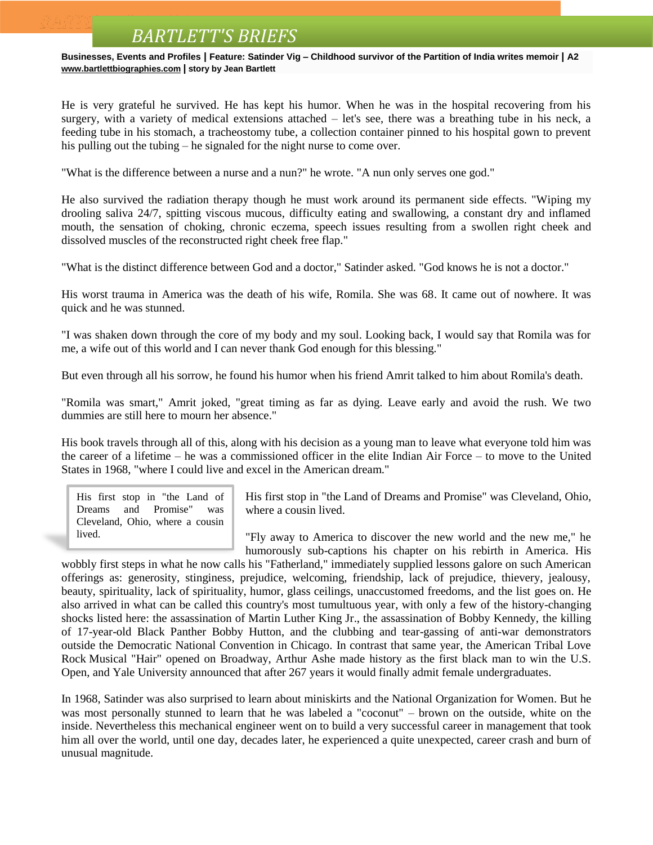## *BARTLETT'S BRIEFS*

**Businesses, Events and Profiles | Feature: Satinder Vig – Childhood survivor of the Partition of India writes memoir | A2 [www.bartlettbiographies.com](http://www.bartlettbiographies.com/) | story by Jean Bartlett**

He is very grateful he survived. He has kept his humor. When he was in the hospital recovering from his surgery, with a variety of medical extensions attached – let's see, there was a breathing tube in his neck, a feeding tube in his stomach, a tracheostomy tube, a collection container pinned to his hospital gown to prevent his pulling out the tubing – he signaled for the night nurse to come over.

"What is the difference between a nurse and a nun?" he wrote. "A nun only serves one god."

He also survived the radiation therapy though he must work around its permanent side effects. "Wiping my drooling saliva 24/7, spitting viscous mucous, difficulty eating and swallowing, a constant dry and inflamed mouth, the sensation of choking, chronic eczema, speech issues resulting from a swollen right cheek and dissolved muscles of the reconstructed right cheek free flap."

"What is the distinct difference between God and a doctor," Satinder asked. "God knows he is not a doctor."

His worst trauma in America was the death of his wife, Romila. She was 68. It came out of nowhere. It was quick and he was stunned.

"I was shaken down through the core of my body and my soul. Looking back, I would say that Romila was for me, a wife out of this world and I can never thank God enough for this blessing."

But even through all his sorrow, he found his humor when his friend Amrit talked to him about Romila's death.

"Romila was smart," Amrit joked, "great timing as far as dying. Leave early and avoid the rush. We two dummies are still here to mourn her absence."

His book travels through all of this, along with his decision as a young man to leave what everyone told him was the career of a lifetime – he was a commissioned officer in the elite Indian Air Force – to move to the United States in 1968, "where I could live and excel in the American dream."

His first stop in "the Land of Dreams and Promise" was Cleveland, Ohio, where a cousin lived.

His first stop in "the Land of Dreams and Promise" was Cleveland, Ohio, where a cousin lived.

"Fly away to America to discover the new world and the new me," he humorously sub-captions his chapter on his rebirth in America. His

wobbly first steps in what he now calls his "Fatherland," immediately supplied lessons galore on such American offerings as: generosity, stinginess, prejudice, welcoming, friendship, lack of prejudice, thievery, jealousy, beauty, spirituality, lack of spirituality, humor, glass ceilings, unaccustomed freedoms, and the list goes on. He also arrived in what can be called this country's most tumultuous year, with only a few of the history-changing shocks listed here: the assassination of Martin Luther King Jr., the assassination of Bobby Kennedy, the killing of 17-year-old Black Panther Bobby Hutton, and the clubbing and tear-gassing of anti-war demonstrators outside the Democratic National Convention in Chicago. In contrast that same year, the American Tribal Love Rock Musical "Hair" opened on Broadway, Arthur Ashe made history as the first black man to win the U.S. Open, and Yale University announced that after 267 years it would finally admit female undergraduates.

In 1968, Satinder was also surprised to learn about miniskirts and the National Organization for Women. But he was most personally stunned to learn that he was labeled a "coconut" – brown on the outside, white on the inside. Nevertheless this mechanical engineer went on to build a very successful career in management that took him all over the world, until one day, decades later, he experienced a quite unexpected, career crash and burn of unusual magnitude.